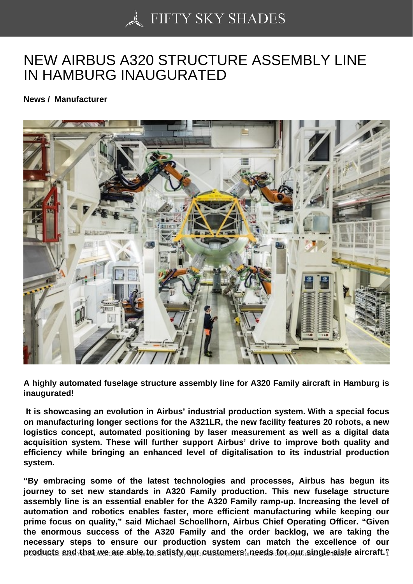## [NEW AIRBUS A320 ST](https://50skyshades.com)RUCTURE ASSEMBLY LINE IN HAMBURG INAUGURATED

News / Manufacturer

A highly automated fuselage structure assembly line for A320 Family aircraft in Hamburg is inaugurated!

 It is showcasing an evolution in Airbus' industrial production system. With a special focus on manufacturing longer sections for the A321LR, the new facility features 20 robots, a new logistics concept, automated positioning by laser measurement as well as a digital data acquisition system. These will further support Airbus' drive to improve both quality and efficiency while bringing an enhanced level of digitalisation to its industrial production system.

"By embracing some of the latest technologies and processes, Airbus has begun its journey to set new standards in A320 Family production. This new fuselage structure assembly line is an essential enabler for the A320 Family ramp-up. Increasing the level of automation and robotics enables faster, more efficient manufacturing while keeping our prime focus on quality," said Michael Schoellhorn, Airbus Chief Operating Officer. "Given the enormous success of the A320 Family and the order backlog, we are taking the necessary steps to ensure our production system can match the excellence of our products and that we are able to satisfy our customers' needs for our single-aisle aircraft."  $\frac{1}{1-\epsilon}$